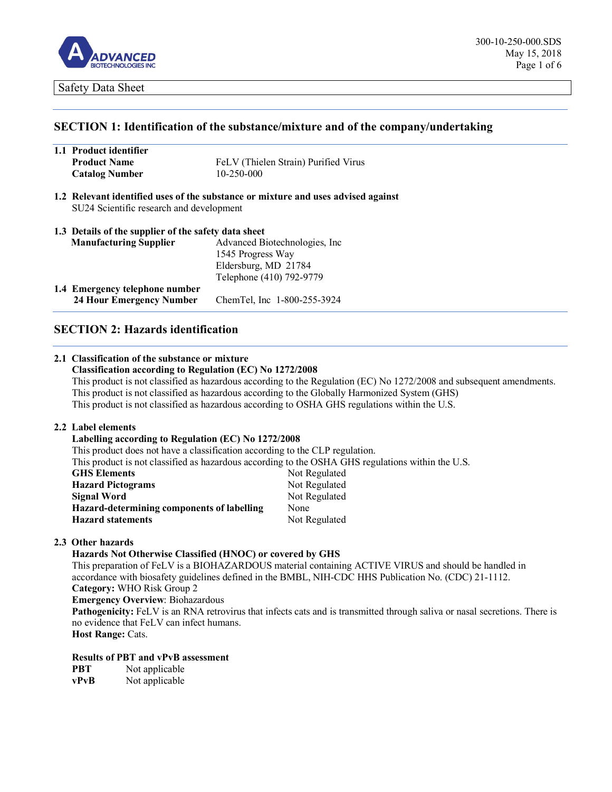

### **SECTION 1: Identification of the substance/mixture and of the company/undertaking**

| 1.1 Product identifier |                                      |
|------------------------|--------------------------------------|
| <b>Product Name</b>    | FeLV (Thielen Strain) Purified Virus |
| <b>Catalog Number</b>  | 10-250-000                           |

**1.2 Relevant identified uses of the substance or mixture and uses advised against** SU24 Scientific research and development

| 1.3 Details of the supplier of the safety data sheet |                                |
|------------------------------------------------------|--------------------------------|
| <b>Manufacturing Supplier</b>                        | Advanced Biotechnologies, Inc. |
|                                                      | 1545 Progress Way              |
|                                                      | Eldersburg, MD 21784           |
|                                                      | Telephone (410) 792-9779       |
| 1.4 Emergency telephone number                       |                                |
| 24 Hour Emergency Number                             | ChemTel, Inc 1-800-255-3924    |

## **SECTION 2: Hazards identification**

# **2.1 Classification of the substance or mixture**

### **Classification according to Regulation (EC) No 1272/2008**

This product is not classified as hazardous according to the Regulation (EC) No 1272/2008 and subsequent amendments. This product is not classified as hazardous according to the Globally Harmonized System (GHS) This product is not classified as hazardous according to OSHA GHS regulations within the U.S.

#### **2.2 Label elements**

### **Labelling according to Regulation (EC) No 1272/2008**

This product does not have a classification according to the CLP regulation.

This product is not classified as hazardous according to the OSHA GHS regulations within the U.S.

| <b>GHS Elements</b>                        | Not Regulated |
|--------------------------------------------|---------------|
| <b>Hazard Pictograms</b>                   | Not Regulated |
| Signal Word                                | Not Regulated |
| Hazard-determining components of labelling | None          |
| <b>Hazard statements</b>                   | Not Regulated |

### **2.3 Other hazards**

### **Hazards Not Otherwise Classified (HNOC) or covered by GHS**

This preparation of FeLV is a BIOHAZARDOUS material containing ACTIVE VIRUS and should be handled in accordance with biosafety guidelines defined in the BMBL, NIH-CDC HHS Publication No. (CDC) 21-1112. **Category:** WHO Risk Group 2 **Emergency Overview**: Biohazardous

**Pathogenicity:** FeLV is an RNA retrovirus that infects cats and is transmitted through saliva or nasal secretions. There is no evidence that FeLV can infect humans. **Host Range: Cats.** 

**Results of PBT and vPvB assessment**

**PBT** Not applicable

**vPvB** Not applicable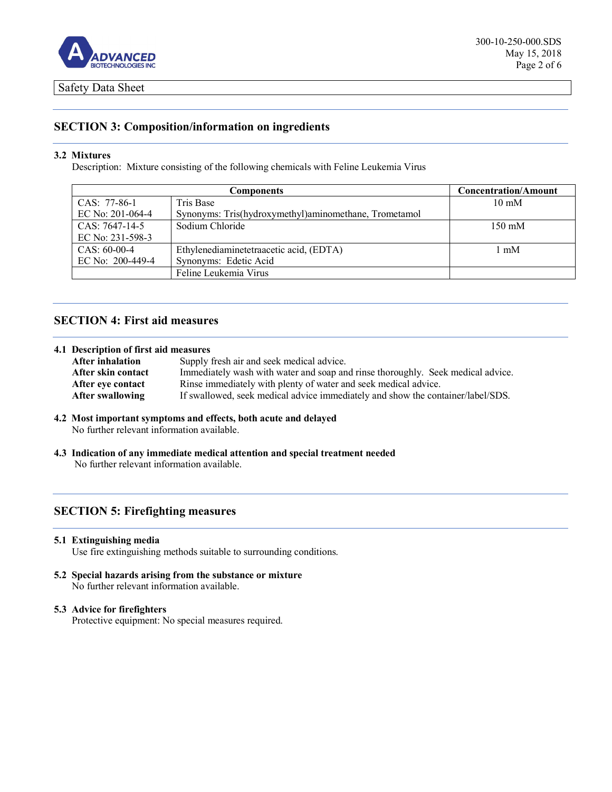

# **SECTION 3: Composition/information on ingredients**

### **3.2 Mixtures**

Description: Mixture consisting of the following chemicals with Feline Leukemia Virus

|                  | <b>Components</b>                                     | <b>Concentration/Amount</b> |
|------------------|-------------------------------------------------------|-----------------------------|
| CAS: 77-86-1     | Tris Base                                             | $10 \text{ mM}$             |
| EC No: 201-064-4 | Synonyms: Tris(hydroxymethyl)aminomethane, Trometamol |                             |
| $CAS: 7647-14-5$ | Sodium Chloride                                       | $150 \text{ mM}$            |
| EC No: 231-598-3 |                                                       |                             |
| $CAS: 60-00-4$   | Ethylenediaminetetraacetic acid, (EDTA)               | $1 \text{ mM}$              |
| EC No: 200-449-4 | Synonyms: Edetic Acid                                 |                             |
|                  | Feline Leukemia Virus                                 |                             |

# **SECTION 4: First aid measures**

### **4.1 Description of first aid measures**

| Supply fresh air and seek medical advice.                                       |
|---------------------------------------------------------------------------------|
| Immediately wash with water and soap and rinse thoroughly. Seek medical advice. |
| Rinse immediately with plenty of water and seek medical advice.                 |
| If swallowed, seek medical advice immediately and show the container/label/SDS. |
|                                                                                 |

### **4.2 Most important symptoms and effects, both acute and delayed**

No further relevant information available.

**4.3 Indication of any immediate medical attention and special treatment needed** No further relevant information available.

# **SECTION 5: Firefighting measures**

### **5.1 Extinguishing media**

Use fire extinguishing methods suitable to surrounding conditions.

**5.2 Special hazards arising from the substance or mixture**  No further relevant information available.

### **5.3 Advice for firefighters**

Protective equipment: No special measures required.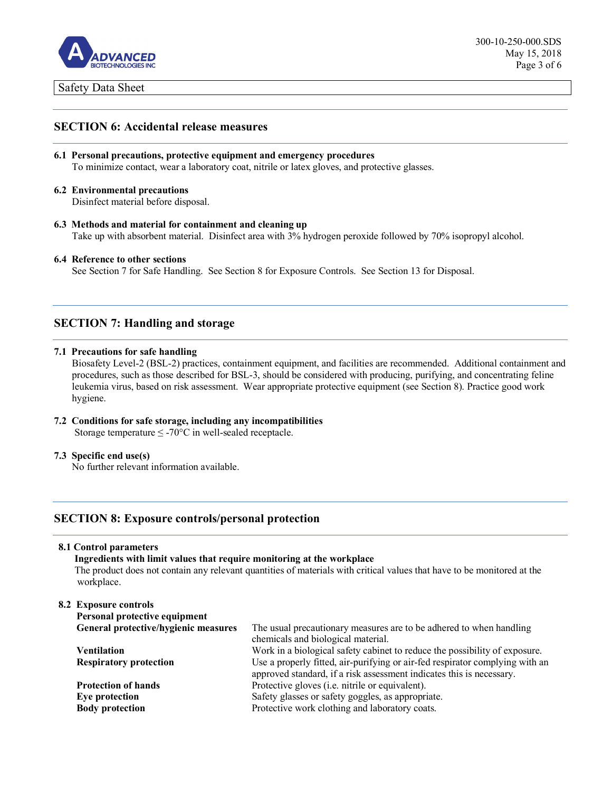

## **SECTION 6: Accidental release measures**

- **6.1 Personal precautions, protective equipment and emergency procedures** To minimize contact, wear a laboratory coat, nitrile or latex gloves, and protective glasses.
- **6.2 Environmental precautions**

Disinfect material before disposal.

**6.3 Methods and material for containment and cleaning up** Take up with absorbent material. Disinfect area with 3% hydrogen peroxide followed by 70% isopropyl alcohol.

### **6.4 Reference to other sections**

See Section 7 for Safe Handling. See Section 8 for Exposure Controls. See Section 13 for Disposal.

# **SECTION 7: Handling and storage**

### **7.1 Precautions for safe handling**

Biosafety Level-2 (BSL-2) practices, containment equipment, and facilities are recommended. Additional containment and procedures, such as those described for BSL-3, should be considered with producing, purifying, and concentrating feline leukemia virus, based on risk assessment. Wear appropriate protective equipment (see Section 8). Practice good work hygiene.

# **7.2 Conditions for safe storage, including any incompatibilities**

Storage temperature  $\leq$  -70°C in well-sealed receptacle.

### **7.3 Specific end use(s)**

No further relevant information available.

## **SECTION 8: Exposure controls/personal protection**

### **8.1 Control parameters**

### **Ingredients with limit values that require monitoring at the workplace**

The product does not contain any relevant quantities of materials with critical values that have to be monitored at the workplace.

### **8.2 Exposure controls Personal protective equipment General protective/hygienic measures** The usual precautionary measures are to be adhered to when handling chemicals and biological material. **Ventilation** Work in a biological safety cabinet to reduce the possibility of exposure. **Respiratory protection** Use a properly fitted, air-purifying or air-fed respirator complying with an approved standard, if a risk assessment indicates this is necessary. **Protection of hands** Protective gloves (i.e. nitrile or equivalent). **Eye protection Safety glasses or safety goggles, as appropriate. Body protection Protective work clothing and laboratory coats.**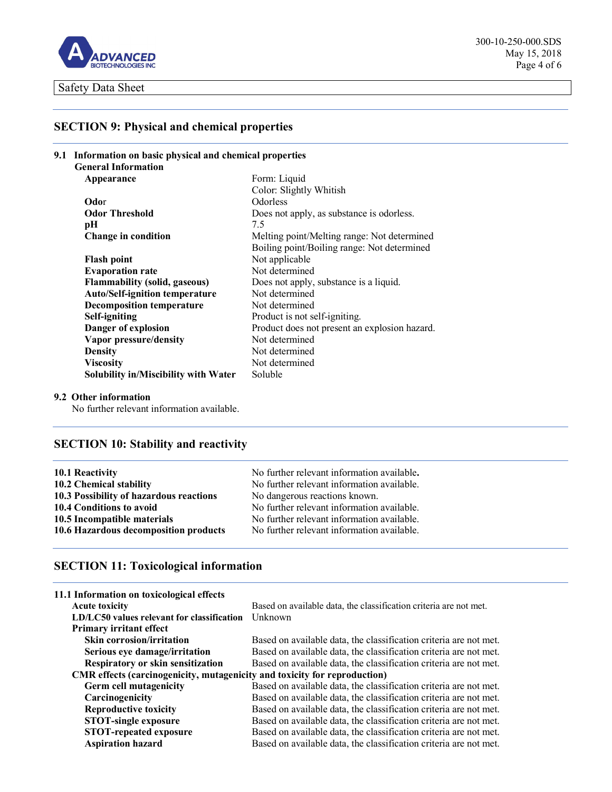

# **SECTION 9: Physical and chemical properties**

| 9.1 Information on basic physical and chemical properties |                                             |                                               |
|-----------------------------------------------------------|---------------------------------------------|-----------------------------------------------|
|                                                           | <b>General Information</b>                  |                                               |
|                                                           | Appearance                                  | Form: Liquid                                  |
|                                                           |                                             | Color: Slightly Whitish                       |
|                                                           | Odor                                        | <b>Odorless</b>                               |
|                                                           | <b>Odor Threshold</b>                       | Does not apply, as substance is odorless.     |
|                                                           | pН                                          | 7.5                                           |
|                                                           | <b>Change in condition</b>                  | Melting point/Melting range: Not determined   |
|                                                           |                                             | Boiling point/Boiling range: Not determined   |
|                                                           | <b>Flash point</b>                          | Not applicable                                |
|                                                           | <b>Evaporation rate</b>                     | Not determined                                |
|                                                           | <b>Flammability (solid, gaseous)</b>        | Does not apply, substance is a liquid.        |
|                                                           | <b>Auto/Self-ignition temperature</b>       | Not determined                                |
|                                                           | <b>Decomposition temperature</b>            | Not determined                                |
|                                                           | Self-igniting                               | Product is not self-igniting.                 |
|                                                           | Danger of explosion                         | Product does not present an explosion hazard. |
|                                                           | Vapor pressure/density                      | Not determined                                |
|                                                           | <b>Density</b>                              | Not determined                                |
|                                                           | <b>Viscosity</b>                            | Not determined                                |
|                                                           | <b>Solubility in/Miscibility with Water</b> | Soluble                                       |

## **9.2 Other information**

No further relevant information available.

# **SECTION 10: Stability and reactivity**

| 10.1 Reactivity                         | No further relevant information available. |
|-----------------------------------------|--------------------------------------------|
| 10.2 Chemical stability                 | No further relevant information available. |
| 10.3 Possibility of hazardous reactions | No dangerous reactions known.              |
| 10.4 Conditions to avoid                | No further relevant information available. |
| 10.5 Incompatible materials             | No further relevant information available. |
| 10.6 Hazardous decomposition products   | No further relevant information available. |

# **SECTION 11: Toxicological information**

| Based on available data, the classification criteria are not met.<br><b>Acute toxicity</b><br>Unknown<br>LD/LC50 values relevant for classification |  |
|-----------------------------------------------------------------------------------------------------------------------------------------------------|--|
|                                                                                                                                                     |  |
|                                                                                                                                                     |  |
| <b>Primary irritant effect</b>                                                                                                                      |  |
| <b>Skin corrosion/irritation</b><br>Based on available data, the classification criteria are not met.                                               |  |
| Based on available data, the classification criteria are not met.<br>Serious eye damage/irritation                                                  |  |
| <b>Respiratory or skin sensitization</b><br>Based on available data, the classification criteria are not met.                                       |  |
| CMR effects (carcinogenicity, mutagenicity and toxicity for reproduction)                                                                           |  |
| Germ cell mutagenicity<br>Based on available data, the classification criteria are not met.                                                         |  |
| Carcinogenicity<br>Based on available data, the classification criteria are not met.                                                                |  |
| Based on available data, the classification criteria are not met.<br><b>Reproductive toxicity</b>                                                   |  |
| <b>STOT-single exposure</b><br>Based on available data, the classification criteria are not met.                                                    |  |
| <b>STOT-repeated exposure</b><br>Based on available data, the classification criteria are not met.                                                  |  |
| <b>Aspiration hazard</b><br>Based on available data, the classification criteria are not met.                                                       |  |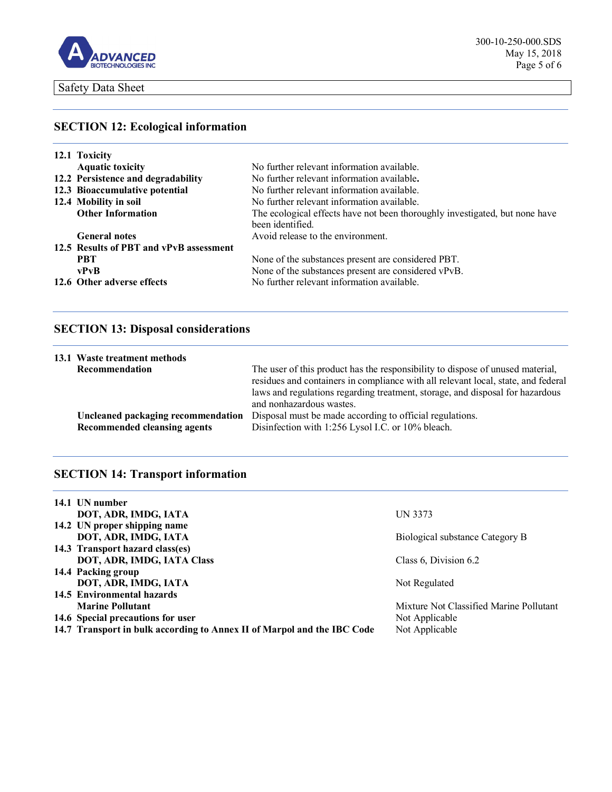

# **SECTION 12: Ecological information**

| 12.1 Toxicity                           |                                                                             |
|-----------------------------------------|-----------------------------------------------------------------------------|
| <b>Aquatic toxicity</b>                 | No further relevant information available.                                  |
| 12.2 Persistence and degradability      | No further relevant information available.                                  |
| 12.3 Bioaccumulative potential          | No further relevant information available.                                  |
| 12.4 Mobility in soil                   | No further relevant information available.                                  |
| <b>Other Information</b>                | The ecological effects have not been thoroughly investigated, but none have |
|                                         | been identified.                                                            |
| <b>General notes</b>                    | Avoid release to the environment.                                           |
| 12.5 Results of PBT and vPvB assessment |                                                                             |
| <b>PRT</b>                              | None of the substances present are considered PBT.                          |
| vPvB                                    | None of the substances present are considered vPvB.                         |
| 12.6 Other adverse effects              | No further relevant information available.                                  |

# **SECTION 13: Disposal considerations**

|                | 13.1 Waste treatment methods                                              |                                                                                                                                                                                                                                                                                  |
|----------------|---------------------------------------------------------------------------|----------------------------------------------------------------------------------------------------------------------------------------------------------------------------------------------------------------------------------------------------------------------------------|
| Recommendation |                                                                           | The user of this product has the responsibility to dispose of unused material,<br>residues and containers in compliance with all relevant local, state, and federal<br>laws and regulations regarding treatment, storage, and disposal for hazardous<br>and nonhazardous wastes. |
|                | Uncleaned packaging recommendation<br><b>Recommended cleansing agents</b> | Disposal must be made according to official regulations.<br>Disinfection with 1:256 Lysol I.C. or 10% bleach.                                                                                                                                                                    |

# **SECTION 14: Transport information**

| 14.1 UN number                                                          |                                         |
|-------------------------------------------------------------------------|-----------------------------------------|
| DOT, ADR, IMDG, IATA                                                    | UN 3373                                 |
| 14.2 UN proper shipping name                                            |                                         |
| DOT, ADR, IMDG, IATA                                                    | Biological substance Category B         |
| 14.3 Transport hazard class(es)                                         |                                         |
| DOT, ADR, IMDG, IATA Class                                              | Class 6, Division 6.2                   |
| 14.4 Packing group                                                      |                                         |
| DOT, ADR, IMDG, IATA                                                    | Not Regulated                           |
| 14.5 Environmental hazards                                              |                                         |
| <b>Marine Pollutant</b>                                                 | Mixture Not Classified Marine Pollutant |
| 14.6 Special precautions for user                                       | Not Applicable                          |
| 14.7 Transport in bulk according to Annex II of Marpol and the IBC Code | Not Applicable                          |